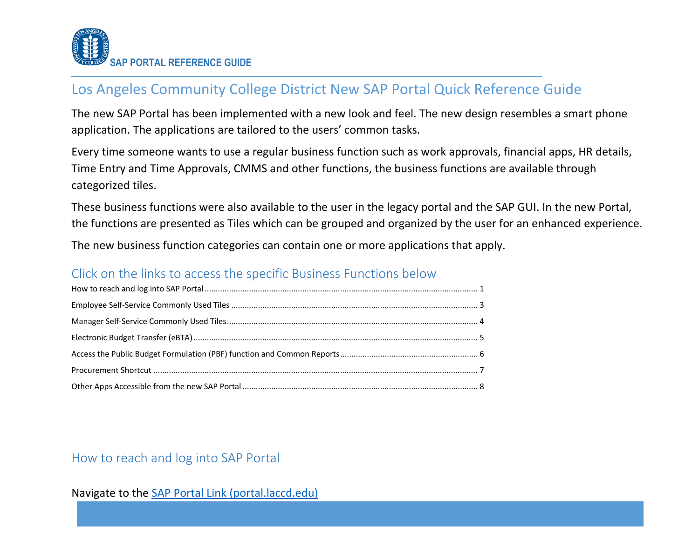

# Los Angeles Community College District New SAP Portal Quick Reference Guide

The new SAP Portal has been implemented with a new look and feel. The new design resembles a smart phone application. The applications are tailored to the users' common tasks.

Every time someone wants to use a regular business function such as work approvals, financial apps, HR details, Time Entry and Time Approvals, CMMS and other functions, the business functions are available through categorized tiles.

These business functions were also available to the user in the legacy portal and the SAP GUI. In the new Portal, the functions are presented as Tiles which can be grouped and organized by the user for an enhanced experience.

The new business function categories can contain one or more applications that apply.

### Click on the links to access the specific Business Functions below

### <span id="page-0-0"></span>How to reach and log into SAP Portal

#### Navigate to the [SAP Portal Link](https://portal.laccd.edu/) (portal.laccd.edu)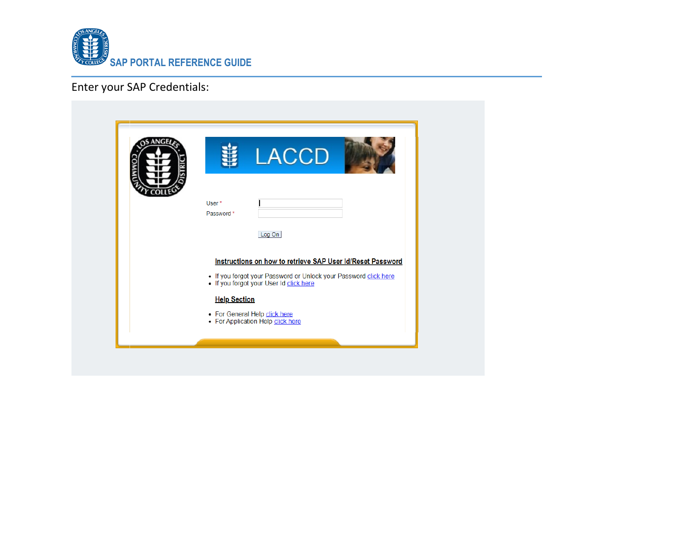

# Enter your SAP Credentials:

| <b>LACCD</b>                                                                                                |
|-------------------------------------------------------------------------------------------------------------|
| User*<br>Password *                                                                                         |
| Log On                                                                                                      |
| Instructions on how to retrieve SAP User Id/Reset Password                                                  |
| . If you forgot your Password or Unlock your Password click here<br>. If you forgot your User Id click here |
| <b>Help Section</b>                                                                                         |
| • For General Help click here<br>• For Application Help click here                                          |
|                                                                                                             |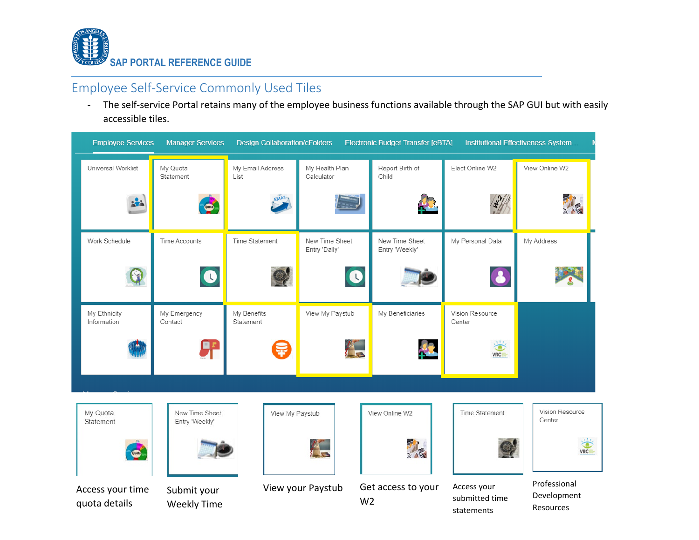

### <span id="page-2-0"></span>Employee Self-Service Commonly Used Tiles

- The self-service Portal retains many of the employee business functions available through the SAP GUI but with easily accessible tiles.

| <b>Employee Services</b>          | <b>Manager Services</b>           | <b>Design Collaboration/cFolders</b> |                                     | <b>Electronic Budget Transfer [eBTA]</b> |                                             | Institutional Effectiveness System       |
|-----------------------------------|-----------------------------------|--------------------------------------|-------------------------------------|------------------------------------------|---------------------------------------------|------------------------------------------|
| Universal Worklist                | My Quota<br>Statement             | My Email Address<br>List             | My Health Plan<br>Calculator        | Report Birth of<br>Child                 | Elect Online W2                             | View Online W2                           |
| ÷                                 |                                   | EMAIL                                |                                     | 47                                       |                                             |                                          |
| Work Schedule                     | Time Accounts                     | Time Statement                       | New Time Sheet<br>Entry 'Daily'     | New Time Sheet<br>Entry 'Weekly'         | My Personal Data                            | My Address                               |
|                                   | $\bullet$                         |                                      | $\bullet$                           |                                          | $\bullet$                                   |                                          |
| My Ethnicity<br>Information       | My Emergency<br>Contact           | My Benefits<br>Statement             | View My Paystub                     | My Beneficiaries                         | Vision Resource<br>Center                   |                                          |
|                                   |                                   |                                      | a<br>Se                             | $\mathcal{L}$                            | <b>VRC</b>                                  |                                          |
|                                   |                                   |                                      |                                     |                                          |                                             |                                          |
| My Quota<br>Statement             | New Time Sheet<br>Entry 'Weekly'  | View My Paystub                      |                                     | View Online W2                           | Time Statement                              | Vision Resource<br>Center                |
|                                   |                                   |                                      | а<br>Сп                             | 一                                        |                                             | <b>VRC</b>                               |
| Access your time<br>quota details | Submit your<br><b>Weekly Time</b> |                                      | View your Paystub<br>W <sub>2</sub> | Get access to your                       | Access your<br>submitted time<br>statements | Professional<br>Development<br>Resources |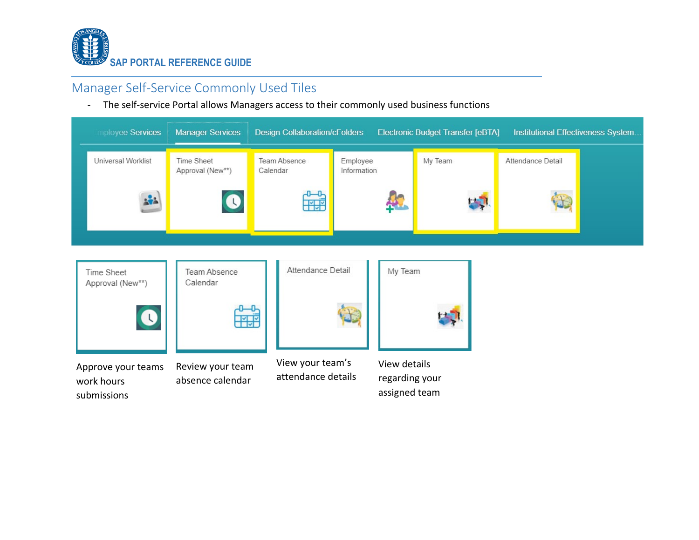

# <span id="page-3-0"></span>Manager Self-Service Commonly Used Tiles

- The self-service Portal allows Managers access to their commonly used business functions

| mployee Services                                | <b>Manager Services</b>                 | <b>Design Collaboration/cFolders</b>   |                                                 | <b>Electronic Budget Transfer [eBTA]</b> | Institutional Effectiveness System |
|-------------------------------------------------|-----------------------------------------|----------------------------------------|-------------------------------------------------|------------------------------------------|------------------------------------|
| Universal Worklist                              | Time Sheet<br>Approval (New**)          | Team Absence<br>Calendar               | Employee<br>Information                         | My Team                                  | Attendance Detail                  |
| ÷.                                              | C                                       | <b>THE</b>                             | $\blacktriangle$                                |                                          |                                    |
| Time Sheet<br>Approval (New**)<br>$\bullet$     | Team Absence<br>Calendar<br><b>Till</b> | Attendance Detail                      | My Team                                         |                                          |                                    |
| Approve your teams<br>work hours<br>submissions | Review your team<br>absence calendar    | View your team's<br>attendance details | View details<br>regarding your<br>assigned team |                                          |                                    |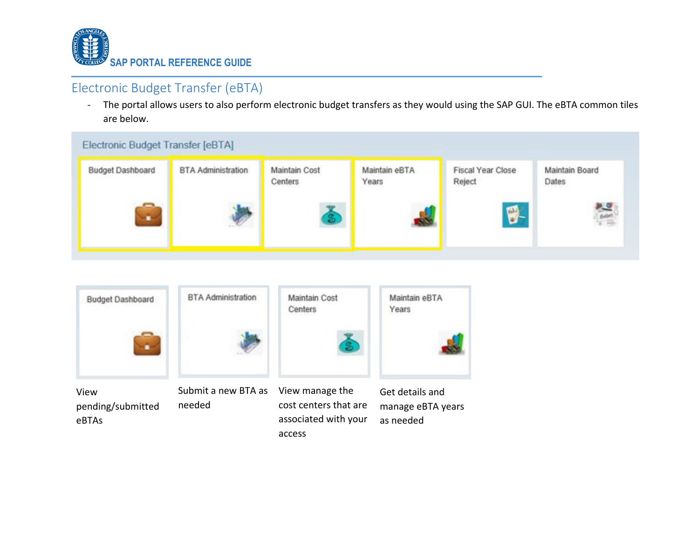

## <span id="page-4-0"></span>Electronic Budget Transfer (eBTA)

- The portal allows users to also perform electronic budget transfers as they would using the SAP GUI. The eBTA common tiles are below.





access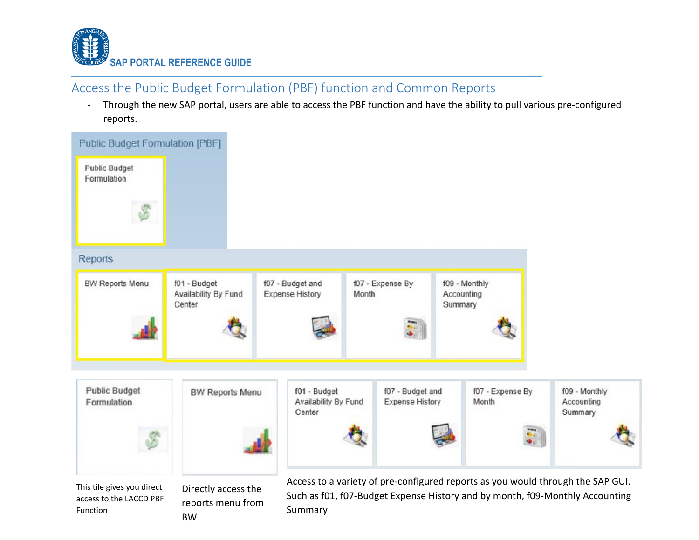

# <span id="page-5-0"></span>Access the Public Budget Formulation (PBF) function and Common Reports

- Through the new SAP portal, users are able to access the PBF function and have the ability to pull various pre-configured reports.

| <b>Public Budget Formulation [PBF]</b>                            |                                                |                                                |                                            |                                        |                                                                                                                                                                 |
|-------------------------------------------------------------------|------------------------------------------------|------------------------------------------------|--------------------------------------------|----------------------------------------|-----------------------------------------------------------------------------------------------------------------------------------------------------------------|
| <b>Public Budget</b><br>Formulation                               |                                                |                                                |                                            |                                        |                                                                                                                                                                 |
|                                                                   |                                                |                                                |                                            |                                        |                                                                                                                                                                 |
| <b>Reports</b>                                                    |                                                |                                                |                                            |                                        |                                                                                                                                                                 |
| <b>BW Reports Menu</b>                                            | f01 - Budget<br>Availability By Fund<br>Center | f07 - Budget and<br><b>Expense History</b>     | f07 - Expense By<br>Month                  | f09 - Monthly<br>Accounting<br>Summary |                                                                                                                                                                 |
| <b>Public Budget</b><br>Formulation                               | <b>BW Reports Menu</b>                         | f01 - Budget<br>Availability By Fund<br>Center | f07 - Budget and<br><b>Expense History</b> | f07 - Expense By<br>Month              | f09 - Monthly<br>Accounting<br>Summary                                                                                                                          |
| This tile gives you direct<br>access to the LACCD PBF<br>Function | Directly access the<br>reports menu from       | Summary                                        |                                            |                                        | Access to a variety of pre-configured reports as you would through the SAP GUI.<br>Such as f01, f07-Budget Expense History and by month, f09-Monthly Accounting |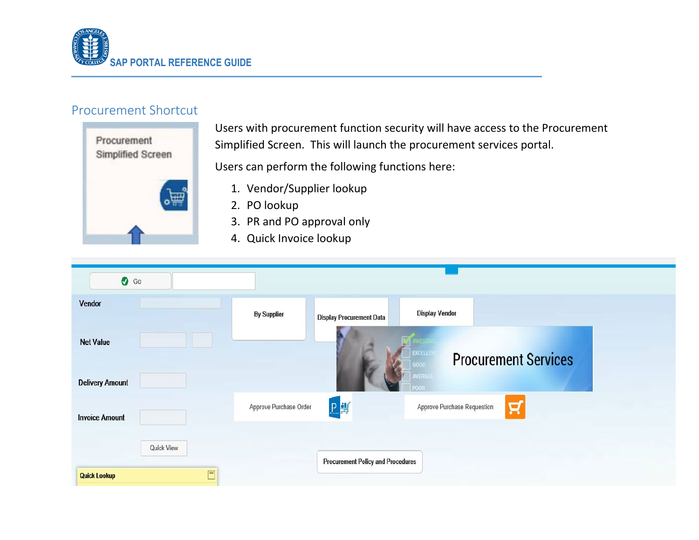

#### <span id="page-6-0"></span>Procurement Shortcut



Users with procurement function security will have access to the Procurement Simplified Screen. This will launch the procurement services portal.

Users can perform the following functions here:

- 1. Vendor/Supplier lookup
- 2. PO lookup
- 3. PR and PO approval only
- 4. Quick Invoice lookup

| $\bullet$ Go                               |                        |                                          |                                       |                             |
|--------------------------------------------|------------------------|------------------------------------------|---------------------------------------|-----------------------------|
| Vendor                                     | <b>By Supplier</b>     | <b>Display Procurement Data</b>          | <b>Display Vendor</b>                 |                             |
| <b>Net Value</b><br><b>Delivery Amount</b> |                        |                                          | <b>EXCELL</b><br>aoon<br><b>AVERA</b> | <b>Procurement Services</b> |
| <b>Invoice Amount</b>                      | Approve Purchase Order | 日期                                       | Approve Purchase Requestion           | R                           |
| Quick View                                 |                        | <b>Procurement Policy and Procedures</b> |                                       |                             |
| $\Box$<br><b>Quick Lookup</b>              |                        |                                          |                                       |                             |